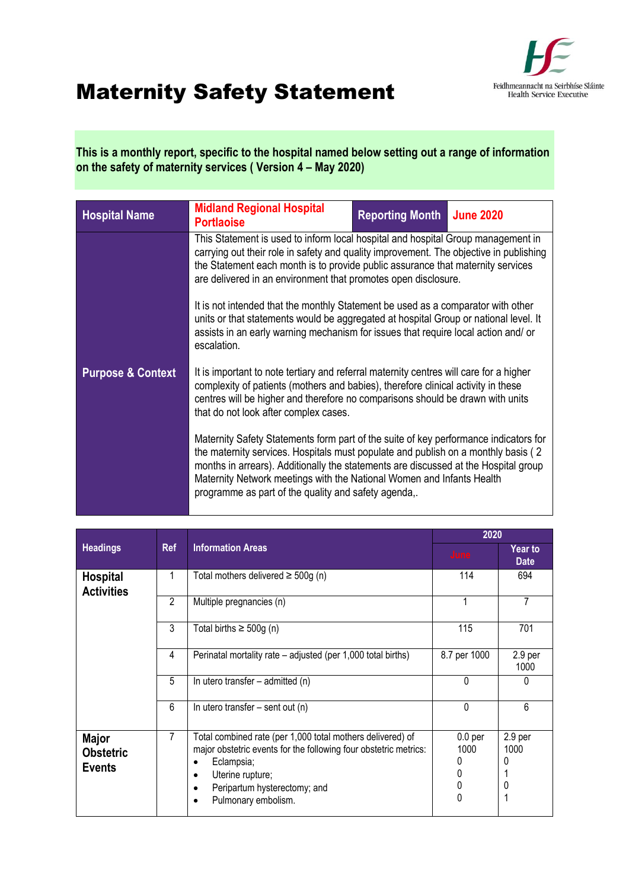

## Maternity Safety Statement

**This is a monthly report, specific to the hospital named below setting out a range of information on the safety of maternity services ( Version 4 – May 2020)** 

| <b>Hospital Name</b>         | <b>Midland Regional Hospital</b><br><b>Portlaoise</b>                                                                                                                                                                                                                                                                                                                                              | <b>Reporting Month</b>                                                                                                                                                                                                                                        | <b>June 2020</b> |  |  |
|------------------------------|----------------------------------------------------------------------------------------------------------------------------------------------------------------------------------------------------------------------------------------------------------------------------------------------------------------------------------------------------------------------------------------------------|---------------------------------------------------------------------------------------------------------------------------------------------------------------------------------------------------------------------------------------------------------------|------------------|--|--|
|                              | This Statement is used to inform local hospital and hospital Group management in<br>carrying out their role in safety and quality improvement. The objective in publishing<br>the Statement each month is to provide public assurance that maternity services<br>are delivered in an environment that promotes open disclosure.                                                                    |                                                                                                                                                                                                                                                               |                  |  |  |
|                              | It is not intended that the monthly Statement be used as a comparator with other<br>units or that statements would be aggregated at hospital Group or national level. It<br>assists in an early warning mechanism for issues that require local action and/ or<br>escalation.                                                                                                                      |                                                                                                                                                                                                                                                               |                  |  |  |
| <b>Purpose &amp; Context</b> | that do not look after complex cases.                                                                                                                                                                                                                                                                                                                                                              | It is important to note tertiary and referral maternity centres will care for a higher<br>complexity of patients (mothers and babies), therefore clinical activity in these<br>centres will be higher and therefore no comparisons should be drawn with units |                  |  |  |
|                              | Maternity Safety Statements form part of the suite of key performance indicators for<br>the maternity services. Hospitals must populate and publish on a monthly basis (2)<br>months in arrears). Additionally the statements are discussed at the Hospital group<br>Maternity Network meetings with the National Women and Infants Health<br>programme as part of the quality and safety agenda,. |                                                                                                                                                                                                                                                               |                  |  |  |

|                                                   |                                        |                                                                                                                                                                                                                         | 2020                                           |                                 |
|---------------------------------------------------|----------------------------------------|-------------------------------------------------------------------------------------------------------------------------------------------------------------------------------------------------------------------------|------------------------------------------------|---------------------------------|
| <b>Headings</b>                                   | <b>Information Areas</b><br><b>Ref</b> |                                                                                                                                                                                                                         | <b>June</b>                                    | <b>Year to</b><br><b>Date</b>   |
| <b>Hospital</b><br><b>Activities</b>              |                                        | Total mothers delivered $\geq$ 500g (n)                                                                                                                                                                                 | 114                                            | 694                             |
|                                                   | $\overline{2}$                         | Multiple pregnancies (n)                                                                                                                                                                                                |                                                | 7                               |
|                                                   | 3                                      | Total births $\geq 500g$ (n)                                                                                                                                                                                            | 115                                            | 701                             |
|                                                   | 4                                      | Perinatal mortality rate – adjusted (per 1,000 total births)                                                                                                                                                            | 8.7 per 1000                                   | 2.9 per<br>1000                 |
|                                                   | 5                                      | In utero transfer $-$ admitted (n)                                                                                                                                                                                      | 0                                              | 0                               |
|                                                   | 6                                      | In utero transfer - sent out (n)                                                                                                                                                                                        | $\Omega$                                       | 6                               |
| <b>Major</b><br><b>Obstetric</b><br><b>Events</b> | 7                                      | Total combined rate (per 1,000 total mothers delivered) of<br>major obstetric events for the following four obstetric metrics:<br>Eclampsia;<br>Uterine rupture;<br>Peripartum hysterectomy; and<br>Pulmonary embolism. | 0.0 <sub>per</sub><br>1000<br>0<br>0<br>0<br>0 | 2.9 <sub>per</sub><br>1000<br>0 |